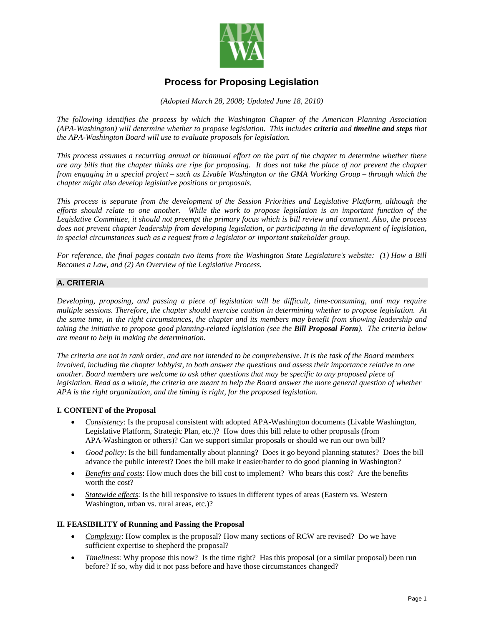

# **Process for Proposing Legislation**

*(Adopted March 28, 2008; Updated June 18, 2010)*

*The following identifies the process by which the Washington Chapter of the American Planning Association (APA-Washington) will determine whether to propose legislation. This includes criteria and timeline and steps that the APA-Washington Board will use to evaluate proposals for legislation.*

*This process assumes a recurring annual or biannual effort on the part of the chapter to determine whether there are any bills that the chapter thinks are ripe for proposing. It does not take the place of nor prevent the chapter from engaging in a special project – such as Livable Washington or the GMA Working Group – through which the chapter might also develop legislative positions or proposals.* 

*This process is separate from the development of the Session Priorities and Legislative Platform, although the efforts should relate to one another. While the work to propose legislation is an important function of the Legislative Committee, it should not preempt the primary focus which is bill review and comment. Also, the process does not prevent chapter leadership from developing legislation, or participating in the development of legislation, in special circumstances such as a request from a legislator or important stakeholder group.*

*For reference, the final pages contain two items from the Washington State Legislature's website: (1) How a Bill Becomes a Law, and (2) An Overview of the Legislative Process.*

## **A. CRITERIA**

*Developing, proposing, and passing a piece of legislation will be difficult, time-consuming, and may require multiple sessions. Therefore, the chapter should exercise caution in determining whether to propose legislation. At the same time, in the right circumstances, the chapter and its members may benefit from showing leadership and taking the initiative to propose good planning-related legislation (see the Bill Proposal Form). The criteria below are meant to help in making the determination.*

*The criteria are not in rank order, and are not intended to be comprehensive. It is the task of the Board members involved, including the chapter lobbyist, to both answer the questions and assess their importance relative to one another. Board members are welcome to ask other questions that may be specific to any proposed piece of legislation. Read as a whole, the criteria are meant to help the Board answer the more general question of whether APA is the right organization, and the timing is right, for the proposed legislation.* 

### **I. CONTENT of the Proposal**

- *Consistency*: Is the proposal consistent with adopted APA-Washington documents (Livable Washington, Legislative Platform, Strategic Plan, etc.)? How does this bill relate to other proposals (from APA-Washington or others)? Can we support similar proposals or should we run our own bill?
- *Good policy*: Is the bill fundamentally about planning? Does it go beyond planning statutes? Does the bill advance the public interest? Does the bill make it easier/harder to do good planning in Washington?
- *Benefits and costs*: How much does the bill cost to implement? Who bears this cost? Are the benefits worth the cost?
- *Statewide effects*: Is the bill responsive to issues in different types of areas (Eastern vs. Western Washington, urban vs. rural areas, etc.)?

### **II. FEASIBILITY of Running and Passing the Proposal**

- *Complexity*: How complex is the proposal? How many sections of RCW are revised? Do we have sufficient expertise to shepherd the proposal?
- *Timeliness*: Why propose this now? Is the time right? Has this proposal (or a similar proposal) been run before? If so, why did it not pass before and have those circumstances changed?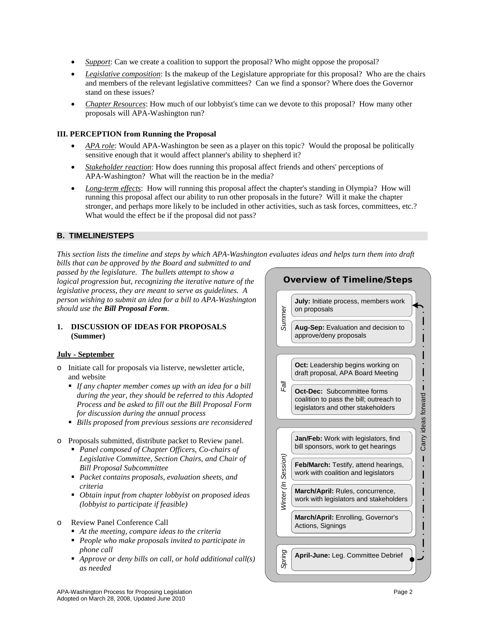- *Support*: Can we create a coalition to support the proposal? Who might oppose the proposal?
- *Legislative composition*: Is the makeup of the Legislature appropriate for this proposal? Who are the chairs and members of the relevant legislative committees? Can we find a sponsor? Where does the Governor stand on these issues?
- *Chapter Resources*: How much of our lobbyist's time can we devote to this proposal? How many other proposals will APA-Washington run?

## **III. PERCEPTION from Running the Proposal**

- *APA role*: Would APA-Washington be seen as a player on this topic? Would the proposal be politically sensitive enough that it would affect planner's ability to shepherd it?
- *Stakeholder reaction*: How does running this proposal affect friends and others' perceptions of APA-Washington? What will the reaction be in the media?
- *Long-term effects*: How will running this proposal affect the chapter's standing in Olympia? How will running this proposal affect our ability to run other proposals in the future? Will it make the chapter stronger, and perhaps more likely to be included in other activities, such as task forces, committees, etc.? What would the effect be if the proposal did not pass?

## **B. TIMELINE/STEPS**

*This section lists the timeline and steps by which APA-Washington evaluates ideas and helps turn them into draft bills that can be approved by the Board and submitted to and* 

*passed by the legislature. The bullets attempt to show a logical progression but, recognizing the iterative nature of the legislative process, they are meant to serve as guidelines. A person wishing to submit an idea for a bill to APA-Washington should use the Bill Proposal Form.*

## **1. DISCUSSION OF IDEAS FOR PROPOSALS (Summer)**

### **July - September**

- o Initiate call for proposals via listerve, newsletter article, and website
	- *If any chapter member comes up with an idea for a bill during the year, they should be referred to this Adopted Process and be asked to fill out the Bill Proposal Form for discussion during the annual process*
	- *Bills proposed from previous sessions are reconsidered*
- o Proposals submitted, distribute packet to Review panel.
	- *Panel composed of Chapter Officers, Co-chairs of Legislative Committee, Section Chairs, and Chair of Bill Proposal Subcommittee*
	- *Packet contains proposals, evaluation sheets, and criteria*
	- *Obtain input from chapter lobbyist on proposed ideas (lobbyist to participate if feasible)*
- o Review Panel Conference Call
	- *At the meeting, compare ideas to the criteria*
	- *People who make proposals invited to participate in phone call*
	- *Approve or deny bills on call, or hold additional call(s) as needed*

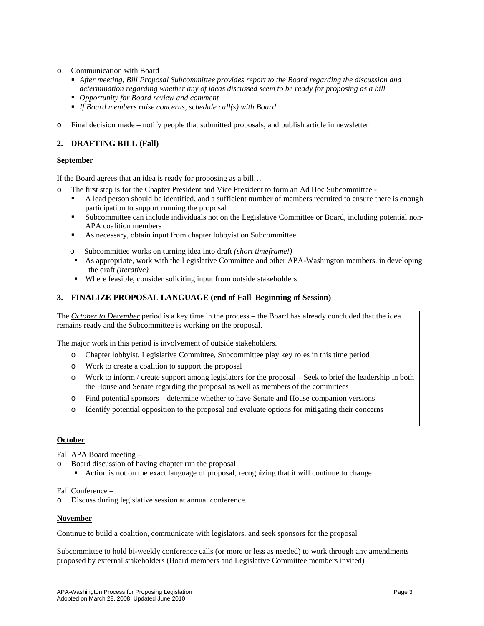- Communication with Board
	- *After meeting, Bill Proposal Subcommittee provides report to the Board regarding the discussion and determination regarding whether any of ideas discussed seem to be ready for proposing as a bill*
	- *Opportunity for Board review and comment*
	- *If Board members raise concerns, schedule call(s) with Board*
- o Final decision made notify people that submitted proposals, and publish article in newsletter

## **2. DRAFTING BILL (Fall)**

#### **September**

If the Board agrees that an idea is ready for proposing as a bill…

- The first step is for the Chapter President and Vice President to form an Ad Hoc Subcommittee -
	- A lead person should be identified, and a sufficient number of members recruited to ensure there is enough participation to support running the proposal
	- Subcommittee can include individuals not on the Legislative Committee or Board, including potential non-APA coalition members
	- As necessary, obtain input from chapter lobbyist on Subcommittee
	- o Subcommittee works on turning idea into draft *(short timeframe!)*
	- As appropriate, work with the Legislative Committee and other APA-Washington members, in developing the draft *(iterative)*
	- Where feasible, consider soliciting input from outside stakeholders

### **3. FINALIZE PROPOSAL LANGUAGE (end of Fall–Beginning of Session)**

The *October to December* period is a key time in the process – the Board has already concluded that the idea remains ready and the Subcommittee is working on the proposal.

The major work in this period is involvement of outside stakeholders.

- o Chapter lobbyist, Legislative Committee, Subcommittee play key roles in this time period
- o Work to create a coalition to support the proposal
- o Work to inform / create support among legislators for the proposal Seek to brief the leadership in both the House and Senate regarding the proposal as well as members of the committees
- o Find potential sponsors determine whether to have Senate and House companion versions
- o Identify potential opposition to the proposal and evaluate options for mitigating their concerns

### **October**

Fall APA Board meeting –

- o Board discussion of having chapter run the proposal
	- Action is not on the exact language of proposal, recognizing that it will continue to change

Fall Conference –

Discuss during legislative session at annual conference.

#### **November**

Continue to build a coalition, communicate with legislators, and seek sponsors for the proposal

Subcommittee to hold bi-weekly conference calls (or more or less as needed) to work through any amendments proposed by external stakeholders (Board members and Legislative Committee members invited)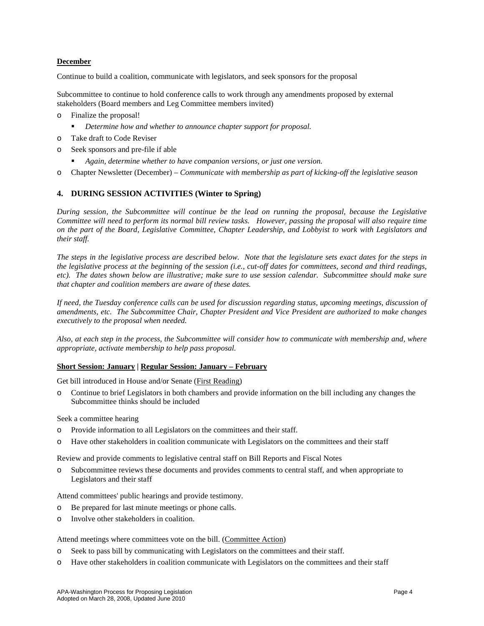## **December**

Continue to build a coalition, communicate with legislators, and seek sponsors for the proposal

Subcommittee to continue to hold conference calls to work through any amendments proposed by external stakeholders (Board members and Leg Committee members invited)

- o Finalize the proposal!
	- *Determine how and whether to announce chapter support for proposal.*
- o Take draft to Code Reviser
- o Seek sponsors and pre-file if able
	- *Again, determine whether to have companion versions, or just one version.*
- o Chapter Newsletter (December) *Communicate with membership as part of kicking-off the legislative season*

# **4. DURING SESSION ACTIVITIES (Winter to Spring)**

*During session, the Subcommittee will continue be the lead on running the proposal, because the Legislative Committee will need to perform its normal bill review tasks. However, passing the proposal will also require time on the part of the Board, Legislative Committee, Chapter Leadership, and Lobbyist to work with Legislators and their staff.* 

*The steps in the legislative process are described below. Note that the legislature sets exact dates for the steps in the legislative process at the beginning of the session (i.e., cut-off dates for committees, second and third readings, etc). The dates shown below are illustrative; make sure to use session calendar. Subcommittee should make sure that chapter and coalition members are aware of these dates.*

*If need, the Tuesday conference calls can be used for discussion regarding status, upcoming meetings, discussion of amendments, etc. The Subcommittee Chair, Chapter President and Vice President are authorized to make changes executively to the proposal when needed.* 

*Also, at each step in the process, the Subcommittee will consider how to communicate with membership and, where appropriate, activate membership to help pass proposal.*

### **Short Session: January | Regular Session: January – February**

Get bill introduced in House and/or Senate (First Reading)

o Continue to brief Legislators in both chambers and provide information on the bill including any changes the Subcommittee thinks should be included

Seek a committee hearing

- o Provide information to all Legislators on the committees and their staff.
- o Have other stakeholders in coalition communicate with Legislators on the committees and their staff

Review and provide comments to legislative central staff on Bill Reports and Fiscal Notes

o Subcommittee reviews these documents and provides comments to central staff, and when appropriate to Legislators and their staff

Attend committees' public hearings and provide testimony.

- o Be prepared for last minute meetings or phone calls.
- o Involve other stakeholders in coalition.

Attend meetings where committees vote on the bill. (Committee Action)

- o Seek to pass bill by communicating with Legislators on the committees and their staff.
- o Have other stakeholders in coalition communicate with Legislators on the committees and their staff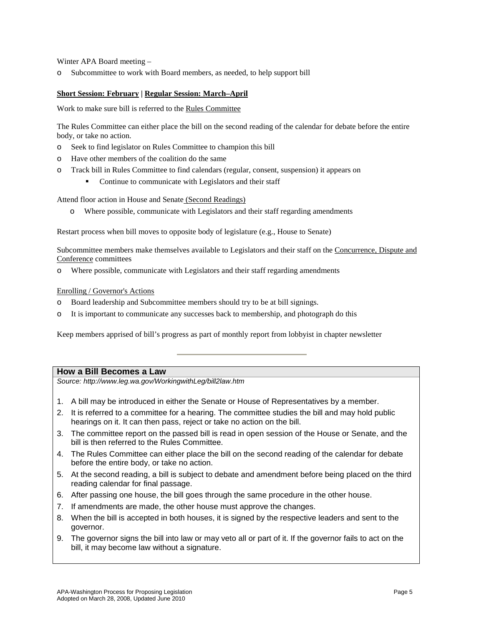Winter APA Board meeting –

Subcommittee to work with Board members, as needed, to help support bill

#### **Short Session: February | Regular Session: March–April**

Work to make sure bill is referred to the Rules Committee

The Rules Committee can either place the bill on the second reading of the calendar for debate before the entire body, or take no action.

- o Seek to find legislator on Rules Committee to champion this bill
- o Have other members of the coalition do the same
- o Track bill in Rules Committee to find calendars (regular, consent, suspension) it appears on
	- Continue to communicate with Legislators and their staff

Attend floor action in House and Senate (Second Readings)

o Where possible, communicate with Legislators and their staff regarding amendments

Restart process when bill moves to opposite body of legislature (e.g., House to Senate)

Subcommittee members make themselves available to Legislators and their staff on the Concurrence, Dispute and Conference committees

Where possible, communicate with Legislators and their staff regarding amendments

#### Enrolling / Governor's Actions

- o Board leadership and Subcommittee members should try to be at bill signings.
- o It is important to communicate any successes back to membership, and photograph do this

Keep members apprised of bill's progress as part of monthly report from lobbyist in chapter newsletter

### **How a Bill Becomes a Law**

*Source: http://www.leg.wa.gov/WorkingwithLeg/bill2law.htm*

- 1. A bill may be introduced in either the Senate or House of Representatives by a member.
- 2. It is referred to a committee for a hearing. The committee studies the bill and may hold public hearings on it. It can then pass, reject or take no action on the bill.
- 3. The committee report on the passed bill is read in open session of the House or Senate, and the bill is then referred to the Rules Committee.
- 4. The Rules Committee can either place the bill on the second reading of the calendar for debate before the entire body, or take no action.
- 5. At the second reading, a bill is subject to debate and amendment before being placed on the third reading calendar for final passage.
- 6. After passing one house, the bill goes through the same procedure in the other house.
- 7. If amendments are made, the other house must approve the changes.
- 8. When the bill is accepted in both houses, it is signed by the respective leaders and sent to the governor.
- 9. The governor signs the bill into law or may veto all or part of it. If the governor fails to act on the bill, it may become law without a signature.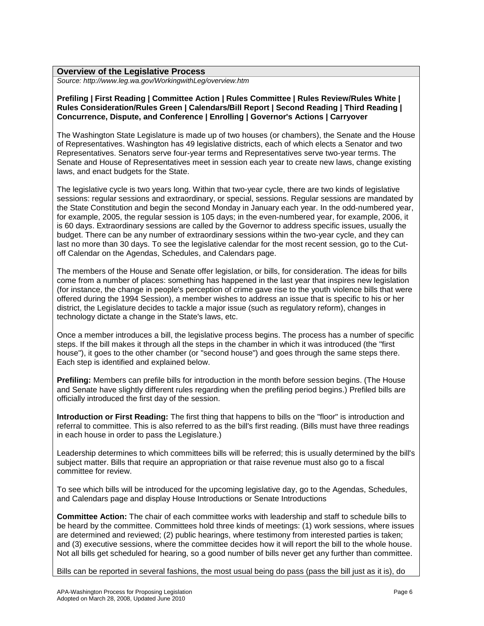*Source: http://www.leg.wa.gov/WorkingwithLeg/overview.htm*

### **Prefiling | First Reading | Committee Action | Rules Committee | Rules Review/Rules White | Rules Consideration/Rules Green | Calendars/Bill Report | Second Reading | Third Reading | Concurrence, Dispute, and Conference | Enrolling | Governor's Actions | Carryover**

The Washington State Legislature is made up of two houses (or chambers), the Senate and the House of Representatives. Washington has 49 legislative districts, each of which elects a Senator and two Representatives. Senators serve four-year terms and Representatives serve two-year terms. The Senate and House of Representatives meet in session each year to create new laws, change existing laws, and enact budgets for the State.

The legislative cycle is two years long. Within that two-year cycle, there are two kinds of legislative sessions: regular sessions and extraordinary, or special, sessions. Regular sessions are mandated by the State Constitution and begin the second Monday in January each year. In the odd-numbered year, for example, 2005, the regular session is 105 days; in the even-numbered year, for example, 2006, it is 60 days. Extraordinary sessions are called by the Governor to address specific issues, usually the budget. There can be any number of extraordinary sessions within the two-year cycle, and they can last no more than 30 days. To see the legislative calendar for the most recent session, go to the Cutoff Calendar on the Agendas, Schedules, and Calendars page.

The members of the House and Senate offer legislation, or bills, for consideration. The ideas for bills come from a number of places: something has happened in the last year that inspires new legislation (for instance, the change in people's perception of crime gave rise to the youth violence bills that were offered during the 1994 Session), a member wishes to address an issue that is specific to his or her district, the Legislature decides to tackle a major issue (such as regulatory reform), changes in technology dictate a change in the State's laws, etc.

Once a member introduces a bill, the legislative process begins. The process has a number of specific steps. If the bill makes it through all the steps in the chamber in which it was introduced (the "first house"), it goes to the other chamber (or "second house") and goes through the same steps there. Each step is identified and explained below.

**Prefiling:** Members can prefile bills for introduction in the month before session begins. (The House and Senate have slightly different rules regarding when the prefiling period begins.) Prefiled bills are officially introduced the first day of the session.

**Introduction or First Reading:** The first thing that happens to bills on the "floor" is introduction and referral to committee. This is also referred to as the bill's first reading. (Bills must have three readings in each house in order to pass the Legislature.)

Leadership determines to which committees bills will be referred; this is usually determined by the bill's subject matter. Bills that require an appropriation or that raise revenue must also go to a fiscal committee for review.

To see which bills will be introduced for the upcoming legislative day, go to the Agendas, Schedules, and Calendars page and display House Introductions or Senate Introductions

**Committee Action:** The chair of each committee works with leadership and staff to schedule bills to be heard by the committee. Committees hold three kinds of meetings: (1) work sessions, where issues are determined and reviewed; (2) public hearings, where testimony from interested parties is taken; and (3) executive sessions, where the committee decides how it will report the bill to the whole house. Not all bills get scheduled for hearing, so a good number of bills never get any further than committee.

Bills can be reported in several fashions, the most usual being do pass (pass the bill just as it is), do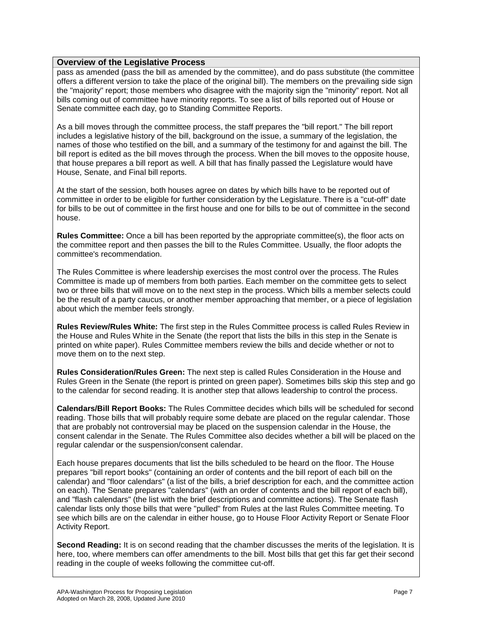pass as amended (pass the bill as amended by the committee), and do pass substitute (the committee offers a different version to take the place of the original bill). The members on the prevailing side sign the "majority" report; those members who disagree with the majority sign the "minority" report. Not all bills coming out of committee have minority reports. To see a list of bills reported out of House or Senate committee each day, go to Standing Committee Reports.

As a bill moves through the committee process, the staff prepares the "bill report." The bill report includes a legislative history of the bill, background on the issue, a summary of the legislation, the names of those who testified on the bill, and a summary of the testimony for and against the bill. The bill report is edited as the bill moves through the process. When the bill moves to the opposite house, that house prepares a bill report as well. A bill that has finally passed the Legislature would have House, Senate, and Final bill reports.

At the start of the session, both houses agree on dates by which bills have to be reported out of committee in order to be eligible for further consideration by the Legislature. There is a "cut-off" date for bills to be out of committee in the first house and one for bills to be out of committee in the second house.

**Rules Committee:** Once a bill has been reported by the appropriate committee(s), the floor acts on the committee report and then passes the bill to the Rules Committee. Usually, the floor adopts the committee's recommendation.

The Rules Committee is where leadership exercises the most control over the process. The Rules Committee is made up of members from both parties. Each member on the committee gets to select two or three bills that will move on to the next step in the process. Which bills a member selects could be the result of a party caucus, or another member approaching that member, or a piece of legislation about which the member feels strongly.

**Rules Review/Rules White:** The first step in the Rules Committee process is called Rules Review in the House and Rules White in the Senate (the report that lists the bills in this step in the Senate is printed on white paper). Rules Committee members review the bills and decide whether or not to move them on to the next step.

**Rules Consideration/Rules Green:** The next step is called Rules Consideration in the House and Rules Green in the Senate (the report is printed on green paper). Sometimes bills skip this step and go to the calendar for second reading. It is another step that allows leadership to control the process.

**Calendars/Bill Report Books:** The Rules Committee decides which bills will be scheduled for second reading. Those bills that will probably require some debate are placed on the regular calendar. Those that are probably not controversial may be placed on the suspension calendar in the House, the consent calendar in the Senate. The Rules Committee also decides whether a bill will be placed on the regular calendar or the suspension/consent calendar.

Each house prepares documents that list the bills scheduled to be heard on the floor. The House prepares "bill report books" (containing an order of contents and the bill report of each bill on the calendar) and "floor calendars" (a list of the bills, a brief description for each, and the committee action on each). The Senate prepares "calendars" (with an order of contents and the bill report of each bill), and "flash calendars" (the list with the brief descriptions and committee actions). The Senate flash calendar lists only those bills that were "pulled" from Rules at the last Rules Committee meeting. To see which bills are on the calendar in either house, go to House Floor Activity Report or Senate Floor Activity Report.

**Second Reading:** It is on second reading that the chamber discusses the merits of the legislation. It is here, too, where members can offer amendments to the bill. Most bills that get this far get their second reading in the couple of weeks following the committee cut-off.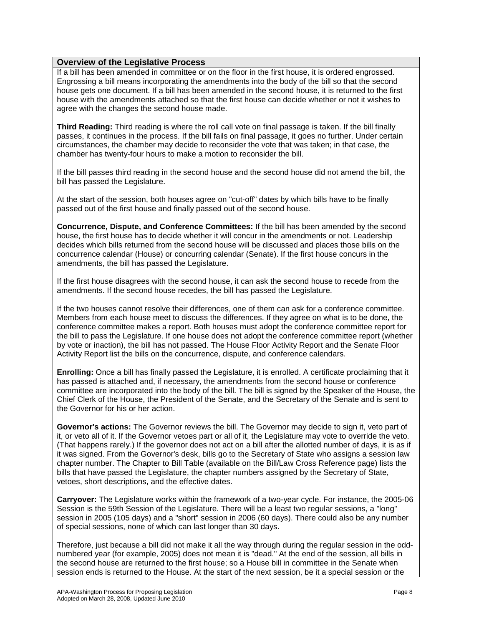If a bill has been amended in committee or on the floor in the first house, it is ordered engrossed. Engrossing a bill means incorporating the amendments into the body of the bill so that the second house gets one document. If a bill has been amended in the second house, it is returned to the first house with the amendments attached so that the first house can decide whether or not it wishes to agree with the changes the second house made.

**Third Reading:** Third reading is where the roll call vote on final passage is taken. If the bill finally passes, it continues in the process. If the bill fails on final passage, it goes no further. Under certain circumstances, the chamber may decide to reconsider the vote that was taken; in that case, the chamber has twenty-four hours to make a motion to reconsider the bill.

If the bill passes third reading in the second house and the second house did not amend the bill, the bill has passed the Legislature.

At the start of the session, both houses agree on "cut-off" dates by which bills have to be finally passed out of the first house and finally passed out of the second house.

**Concurrence, Dispute, and Conference Committees:** If the bill has been amended by the second house, the first house has to decide whether it will concur in the amendments or not. Leadership decides which bills returned from the second house will be discussed and places those bills on the concurrence calendar (House) or concurring calendar (Senate). If the first house concurs in the amendments, the bill has passed the Legislature.

If the first house disagrees with the second house, it can ask the second house to recede from the amendments. If the second house recedes, the bill has passed the Legislature.

If the two houses cannot resolve their differences, one of them can ask for a conference committee. Members from each house meet to discuss the differences. If they agree on what is to be done, the conference committee makes a report. Both houses must adopt the conference committee report for the bill to pass the Legislature. If one house does not adopt the conference committee report (whether by vote or inaction), the bill has not passed. The House Floor Activity Report and the Senate Floor Activity Report list the bills on the concurrence, dispute, and conference calendars.

**Enrolling:** Once a bill has finally passed the Legislature, it is enrolled. A certificate proclaiming that it has passed is attached and, if necessary, the amendments from the second house or conference committee are incorporated into the body of the bill. The bill is signed by the Speaker of the House, the Chief Clerk of the House, the President of the Senate, and the Secretary of the Senate and is sent to the Governor for his or her action.

**Governor's actions:** The Governor reviews the bill. The Governor may decide to sign it, veto part of it, or veto all of it. If the Governor vetoes part or all of it, the Legislature may vote to override the veto. (That happens rarely.) If the governor does not act on a bill after the allotted number of days, it is as if it was signed. From the Governor's desk, bills go to the Secretary of State who assigns a session law chapter number. The Chapter to Bill Table (available on the Bill/Law Cross Reference page) lists the bills that have passed the Legislature, the chapter numbers assigned by the Secretary of State, vetoes, short descriptions, and the effective dates.

**Carryover:** The Legislature works within the framework of a two-year cycle. For instance, the 2005-06 Session is the 59th Session of the Legislature. There will be a least two regular sessions, a "long" session in 2005 (105 days) and a "short" session in 2006 (60 days). There could also be any number of special sessions, none of which can last longer than 30 days.

Therefore, just because a bill did not make it all the way through during the regular session in the oddnumbered year (for example, 2005) does not mean it is "dead." At the end of the session, all bills in the second house are returned to the first house; so a House bill in committee in the Senate when session ends is returned to the House. At the start of the next session, be it a special session or the